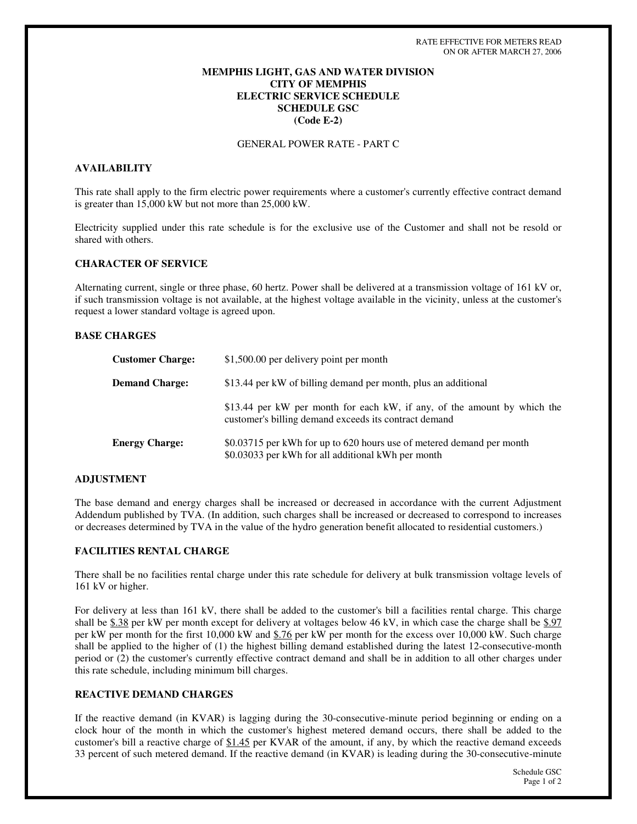# **MEMPHIS LIGHT, GAS AND WATER DIVISION CITY OF MEMPHIS ELECTRIC SERVICE SCHEDULE SCHEDULE GSC (Code E-2)**

GENERAL POWER RATE - PART C

# **AVAILABILITY**

This rate shall apply to the firm electric power requirements where a customer's currently effective contract demand is greater than 15,000 kW but not more than 25,000 kW.

Electricity supplied under this rate schedule is for the exclusive use of the Customer and shall not be resold or shared with others.

### **CHARACTER OF SERVICE**

Alternating current, single or three phase, 60 hertz. Power shall be delivered at a transmission voltage of 161 kV or, if such transmission voltage is not available, at the highest voltage available in the vicinity, unless at the customer's request a lower standard voltage is agreed upon.

#### **BASE CHARGES**

| <b>Customer Charge:</b> | \$1,500.00 per delivery point per month                                                                                           |
|-------------------------|-----------------------------------------------------------------------------------------------------------------------------------|
| <b>Demand Charge:</b>   | \$13.44 per kW of billing demand per month, plus an additional                                                                    |
|                         | \$13.44 per kW per month for each kW, if any, of the amount by which the<br>customer's billing demand exceeds its contract demand |
| <b>Energy Charge:</b>   | \$0.03715 per kWh for up to 620 hours use of metered demand per month<br>\$0.03033 per kWh for all additional kWh per month       |

#### **ADJUSTMENT**

The base demand and energy charges shall be increased or decreased in accordance with the current Adjustment Addendum published by TVA. (In addition, such charges shall be increased or decreased to correspond to increases or decreases determined by TVA in the value of the hydro generation benefit allocated to residential customers.)

# **FACILITIES RENTAL CHARGE**

There shall be no facilities rental charge under this rate schedule for delivery at bulk transmission voltage levels of 161 kV or higher.

For delivery at less than 161 kV, there shall be added to the customer's bill a facilities rental charge. This charge shall be \$.38 per kW per month except for delivery at voltages below 46 kV, in which case the charge shall be \$.97 per kW per month for the first 10,000 kW and \$.76 per kW per month for the excess over 10,000 kW. Such charge shall be applied to the higher of (1) the highest billing demand established during the latest 12-consecutive-month period or (2) the customer's currently effective contract demand and shall be in addition to all other charges under this rate schedule, including minimum bill charges.

# **REACTIVE DEMAND CHARGES**

If the reactive demand (in KVAR) is lagging during the 30-consecutive-minute period beginning or ending on a clock hour of the month in which the customer's highest metered demand occurs, there shall be added to the customer's bill a reactive charge of \$1.45 per KVAR of the amount, if any, by which the reactive demand exceeds 33 percent of such metered demand. If the reactive demand (in KVAR) is leading during the 30-consecutive-minute